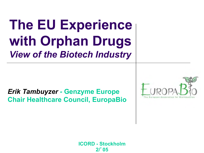# **The EU Experience with Orphan Drugs**  *View of the Biotech Industry*

#### *Erik Tambuyzer -* **Genzyme Europe Chair Healthcare Council, EuropaBio**



**ICORD - Stockholm 2/**'**05**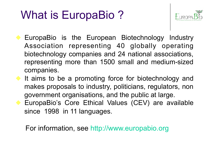## What is EuropaBio ?



- EuropaBio is the European Biotechnology Industry Association representing 40 globally operating biotechnology companies and 24 national associations, representing more than 1500 small and medium-sized companies.
- It aims to be a promoting force for biotechnology and makes proposals to industry, politicians, regulators, non government organisations, and the public at large. EuropaBio's Core Ethical Values (CEV) are available since 1998 in 11 languages.

For information, see http://www.europabio.org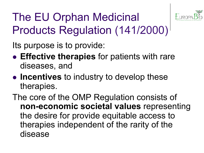

The EU Orphan Medicinal Products Regulation (141/2000)

Its purpose is to provide:

- **Effective therapies** for patients with rare diseases, and
- **Incentives** to industry to develop these therapies.

The core of the OMP Regulation consists of **non-economic societal values** representing the desire for provide equitable access to therapies independent of the rarity of the disease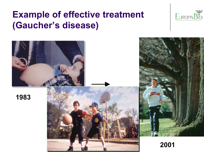#### **Example of effective treatment (Gaucher's disease)**





**2001**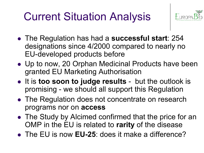## Current Situation Analysis



- The Regulation has had a **successful start**: 254 designations since 4/2000 compared to nearly no EU-developed products before
- Up to now, 20 Orphan Medicinal Products have been granted EU Marketing Authorisation
- **.** It is **too soon to judge results** but the outlook is promising - we should all support this Regulation
- The Regulation does not concentrate on research programs nor on **access**
- The Study by Alcimed confirmed that the price for an OMP in the EU is related to **rarity** of the disease
- The EU is now **EU-25**: does it make a difference?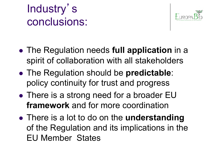



- **The Regulation needs full application** in a spirit of collaboration with all stakeholders
- **The Regulation should be predictable:** policy continuity for trust and progress
- There is a strong need for a broader EU **framework** and for more coordination
- There is a lot to do on the **understanding** of the Regulation and its implications in the EU Member States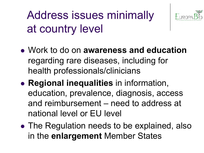Address issues minimally at country level



- <sup>l</sup> Work to do on **awareness and education**  regarding rare diseases, including for health professionals/clinicians
- **Regional inequalities** in information, education, prevalence, diagnosis, access and reimbursement – need to address at national level or EU level
- The Regulation needs to be explained, also in the **enlargement** Member States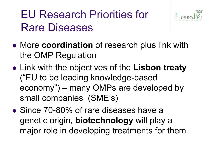### EU Research Priorities for Rare Diseases



- **More coordination** of research plus link with the OMP Regulation
- **Link with the objectives of the Lisbon treaty** ("EU to be leading knowledge-based economy") – many OMPs are developed by small companies (SME's)
- Since 70-80% of rare diseases have a genetic origin, **biotechnology** will play a major role in developing treatments for them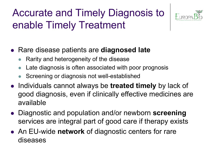### Accurate and Timely Diagnosis to enable Timely Treatment



- **Rare disease patients are diagnosed late** 
	- Rarity and heterogeneity of the disease
	- Late diagnosis is often associated with poor prognosis
	- Screening or diagnosis not well-established
- **.** Individuals cannot always be treated timely by lack of good diagnosis, even if clinically effective medicines are available
- **.** Diagnostic and population and/or newborn screening services are integral part of good care if therapy exists
- An EU-wide network of diagnostic centers for rare diseases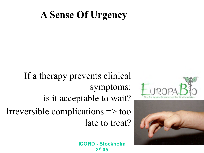### **A Sense Of Urgency**





If a therapy prevents clinical symptoms: is it acceptable to wait? Irreversible complications => too late to treat?

> **ICORD - Stockholm 2/**'**05**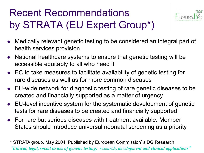### Recent Recommendations by STRATA (EU Expert Group\*)



- <sup>l</sup> Medically relevant genetic testing to be considered an integral part of health services provision
- National healthcare systems to ensure that genetic testing will be accessible equitably to all who need it
- EC to take measures to facilitate availability of genetic testing for rare diseases as well as for more common diseases
- EU-wide network for diagnostic testing of rare genetic diseases to be created and financially supported as a matter of urgency
- EU-level incentive system for the systematic development of genetic tests for rare diseases to be created and financially supported
- For rare but serious diseases with treatment available: Member States should introduce universal neonatal screening as a priority

 \* STRATA group, May 2004. Published by European Commission's DG Research "*Ethical, legal, social issues of genetic testing: research, development and clinical applications*"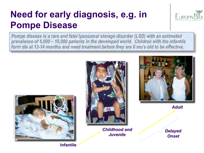### **Need for early diagnosis, e.g. in Pompe Disease**



*Pompe disease is a rare and fatal lysosomal storage disorder (LSD) with an estimated prevalence of 5,000 – 10,000 patients in the developed world. Children with the infantile form die at 12-14 months and need treatment before they are 6 mo's old to be effective.* 



**Infantile** 



*Childhood and Juvenile* 



*Adult* 

*Delayed Onset*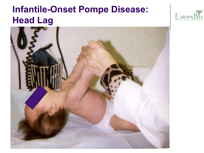#### **Infantile-Onset Pompe Disease: Head Lag**



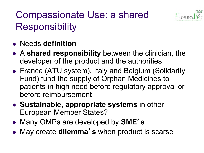### Compassionate Use: a shared **Responsibility**



- **Needs definition**
- **A shared responsibility** between the clinician, the developer of the product and the authorities
- France (ATU system), Italy and Belgium (Solidarity Fund) fund the supply of Orphan Medicines to patients in high need before regulatory approval or before reimbursement.
- **.** Sustainable, appropriate systems in other European Member States?
- Many OMPs are developed by **SME's**
- May create dilemma's when product is scarse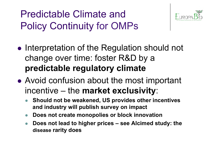Predictable Climate and Policy Continuity for OMPs



- Interpretation of the Regulation should not change over time: foster R&D by a **predictable regulatory climate**
- Avoid confusion about the most important incentive – the **market exclusivity**:
	- **Should not be weakened, US provides other incentives and industry will publish survey on impact**
	- **Does not create monopolies or block innovation**
	- **Does not lead to higher prices see Alcimed study: the disease rarity does**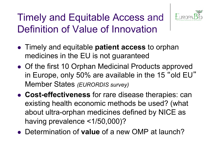

### Timely and Equitable Access and Definition of Value of Innovation

- **.** Timely and equitable **patient access** to orphan medicines in the EU is not guaranteed
- Of the first 10 Orphan Medicinal Products approved in Europe, only 50% are available in the 15 "old EU" Member States *(EURORDIS survey)*
- **Cost-effectiveness** for rare disease therapies: can existing health economic methods be used? (what about ultra-orphan medicines defined by NICE as having prevalence <1/50,000)?
- **Determination of value of a new OMP at launch?**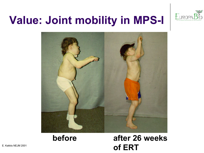

### **Value: Joint mobility in MPS-I**



#### **before after 26 weeks**  E. Kakkis NEJM 2001 **of ERT**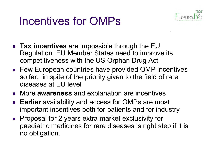### Incentives for OMPs



- **Tax incentives** are impossible through the EU Regulation. EU Member States need to improve its competitiveness with the US Orphan Drug Act
- Few European countries have provided OMP incentives so far, in spite of the priority given to the field of rare diseases at EU level
- **.** More awareness and explanation are incentives
- **Earlier** availability and access for OMPs are most important incentives both for patients and for industry
- Proposal for 2 years extra market exclusivity for paediatric medicines for rare diseases is right step if it is no obligation.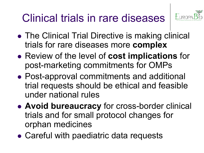### Clinical trials in rare diseases



- The Clinical Trial Directive is making clinical trials for rare diseases more **complex**
- **Review of the level of cost implications** for post-marketing commitments for OMPs
- Post-approval commitments and additional trial requests should be ethical and feasible under national rules
- **Avoid bureaucracy** for cross-border clinical trials and for small protocol changes for orphan medicines
- Careful with paediatric data requests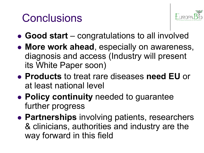### **Conclusions**



- Good start congratulations to all involved
- **More work ahead, especially on awareness,** diagnosis and access (Industry will present its White Paper soon)
- <sup>l</sup> **Products** to treat rare diseases **need EU** or at least national level
- **Policy continuity** needed to guarantee further progress
- **Partnerships** involving patients, researchers & clinicians, authorities and industry are the way forward in this field